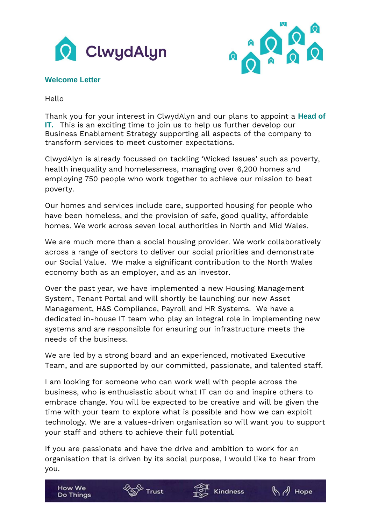



## **Welcome Letter**

How We

**Do Things** 

Hello

Thank you for your interest in ClwydAlyn and our plans to appoint a **Head of IT.** This is an exciting time to join us to help us further develop our Business Enablement Strategy supporting all aspects of the company to transform services to meet customer expectations.

ClwydAlyn is already focussed on tackling 'Wicked Issues' such as poverty, health inequality and homelessness, managing over 6,200 homes and employing 750 people who work together to achieve our mission to beat poverty.

Our homes and services include care, supported housing for people who have been homeless, and the provision of safe, good quality, affordable homes. We work across seven local authorities in North and Mid Wales.

We are much more than a social housing provider. We work collaboratively across a range of sectors to deliver our social priorities and demonstrate our Social Value. We make a significant contribution to the North Wales economy both as an employer, and as an investor.

Over the past year, we have implemented a new Housing Management System, Tenant Portal and will shortly be launching our new Asset Management, H&S Compliance, Payroll and HR Systems. We have a dedicated in-house IT team who play an integral role in implementing new systems and are responsible for ensuring our infrastructure meets the needs of the business.

We are led by a strong board and an experienced, motivated Executive Team, and are supported by our committed, passionate, and talented staff.

I am looking for someone who can work well with people across the business, who is enthusiastic about what IT can do and inspire others to embrace change. You will be expected to be creative and will be given the time with your team to explore what is possible and how we can exploit technology. We are a values-driven organisation so will want you to support your staff and others to achieve their full potential.

If you are passionate and have the drive and ambition to work for an organisation that is driven by its social purpose, I would like to hear from you.

Kindness

Trust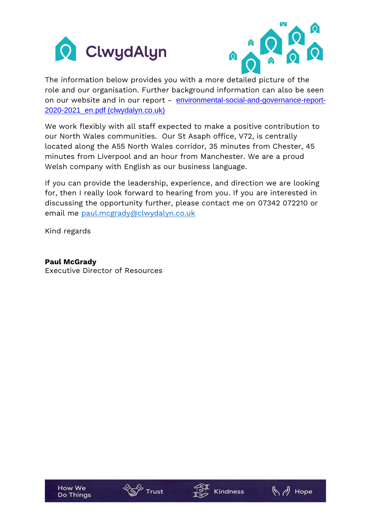



The information below provides you with a more detailed picture of the role and our organisation. Further background information can also be seen on our website and in our report - [environmental-social-and-governance-report-](https://www.clwydalyn.co.uk/media/documents/environmental-social-and-governance-report-2020-2021_en.pdf)[2020-2021\\_en.pdf \(clwydalyn.co.uk\)](https://www.clwydalyn.co.uk/media/documents/environmental-social-and-governance-report-2020-2021_en.pdf)

We work flexibly with all staff expected to make a positive contribution to our North Wales communities. Our St Asaph office, V72, is centrally located along the A55 North Wales corridor, 35 minutes from Chester, 45 minutes from Liverpool and an hour from Manchester. We are a proud Welsh company with English as our business language.

If you can provide the leadership, experience, and direction we are looking for, then I really look forward to hearing from you. If you are interested in discussing the opportunity further, please contact me on 07342 072210 or email me [paul.mcgrady@clwydalyn.co.uk](mailto:paul.mcgrady@clwydalyn.co.uk)

Kind regards

**Paul McGrady** Executive Director of Resources





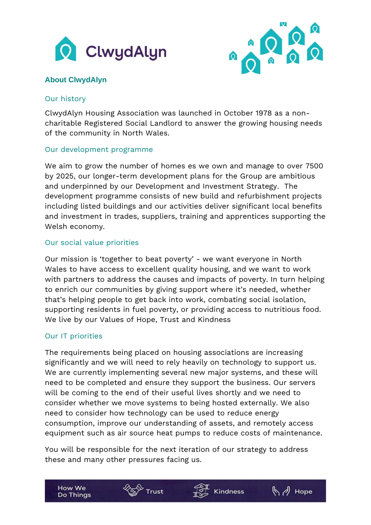



# **About ClwydAlyn**

### Our history

ClwydAlyn Housing Association was launched in October 1978 as a noncharitable Registered Social Landlord to answer the growing housing needs of the community in North Wales.

## Our development programme

We aim to grow the number of homes es we own and manage to over 7500 by 2025, our longer-term development plans for the Group are ambitious and underpinned by our Development and Investment Strategy. The development programme consists of new build and refurbishment projects including listed buildings and our activities deliver significant local benefits and investment in trades, suppliers, training and apprentices supporting the Welsh economy.

## Our social value priorities

Our mission is 'together to beat poverty' - we want everyone in North Wales to have access to excellent quality housing, and we want to work with partners to address the causes and impacts of poverty. In turn helping to enrich our communities by giving support where it's needed, whether that's helping people to get back into work, combating social isolation, supporting residents in fuel poverty, or providing access to nutritious food. We live by our Values of Hope, Trust and Kindness

## Our IT priorities

**How We** 

**Do Things** 

The requirements being placed on housing associations are increasing significantly and we will need to rely heavily on technology to support us. We are currently implementing several new major systems, and these will need to be completed and ensure they support the business. Our servers will be coming to the end of their useful lives shortly and we need to consider whether we move systems to being hosted externally. We also need to consider how technology can be used to reduce energy consumption, improve our understanding of assets, and remotely access equipment such as air source heat pumps to reduce costs of maintenance.

You will be responsible for the next iteration of our strategy to address these and many other pressures facing us.

**Kindness** 

Trust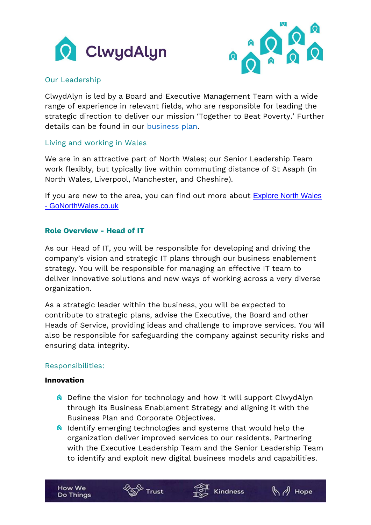



## Our Leadership

ClwydAlyn is led by a Board and Executive Management Team with a wide range of experience in relevant fields, who are responsible for leading the strategic direction to deliver our mission 'Together to Beat Poverty.' Further details can be found in our [business plan.](https://www.clwydalyn.co.uk/media/documents/corporate-plan-2020-25_en.pdf)

## Living and working in Wales

We are in an attractive part of North Wales; our Senior Leadership Team work flexibly, but typically live within commuting distance of St Asaph (in North Wales, Liverpool, Manchester, and Cheshire).

If you are new to the area, you can find out more about [Explore North Wales](https://www.gonorthwales.co.uk/explore)  - [GoNorthWales.co.uk](https://www.gonorthwales.co.uk/explore)

## **Role Overview - Head of IT**

As our Head of IT, you will be responsible for developing and driving the company's vision and strategic IT plans through our business enablement strategy. You will be responsible for managing an effective IT team to deliver innovative solutions and new ways of working across a very diverse organization.

As a strategic leader within the business, you will be expected to contribute to strategic plans, advise the Executive, the Board and other Heads of Service, providing ideas and challenge to improve services. You will also be responsible for safeguarding the company against security risks and ensuring data integrity.

## Responsibilities:

### **Innovation**

- **Q** Define the vision for technology and how it will support ClwydAlyn through its Business Enablement Strategy and aligning it with the Business Plan and Corporate Objectives.
- $\theta$  Identify emerging technologies and systems that would help the organization deliver improved services to our residents. Partnering with the Executive Leadership Team and the Senior Leadership Team to identify and exploit new digital business models and capabilities.

Kindness

Trust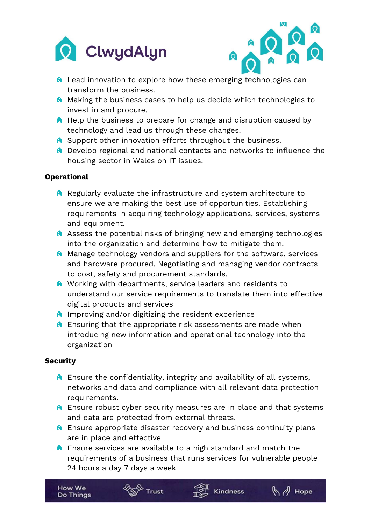



- **A** Lead innovation to explore how these emerging technologies can transform the business.
- **A** Making the business cases to help us decide which technologies to invest in and procure.
- **A** Help the business to prepare for change and disruption caused by technology and lead us through these changes.
- **Q** Support other innovation efforts throughout the business.
- **Q** Develop regional and national contacts and networks to influence the housing sector in Wales on IT issues.

## **Operational**

- $\theta$  Regularly evaluate the infrastructure and system architecture to ensure we are making the best use of opportunities. Establishing requirements in acquiring technology applications, services, systems and equipment.
- **A** Assess the potential risks of bringing new and emerging technologies into the organization and determine how to mitigate them.
- $\bullet$  Manage technology vendors and suppliers for the software, services and hardware procured. Negotiating and managing vendor contracts to cost, safety and procurement standards.
- **A** Working with departments, service leaders and residents to understand our service requirements to translate them into effective digital products and services
- $\theta$  Improving and/or digitizing the resident experience

Trust

**A** Ensuring that the appropriate risk assessments are made when introducing new information and operational technology into the organization

## **Security**

- $\bullet$  Ensure the confidentiality, integrity and availability of all systems, networks and data and compliance with all relevant data protection requirements.
- **A** Ensure robust cyber security measures are in place and that systems and data are protected from external threats.
- **A** Ensure appropriate disaster recovery and business continuity plans are in place and effective
- **A** Ensure services are available to a high standard and match the requirements of a business that runs services for vulnerable people 24 hours a day 7 days a week

**Kindness**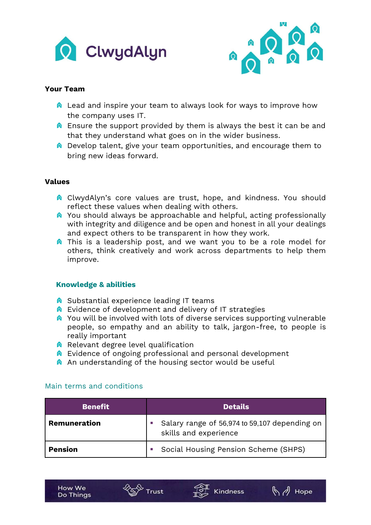



### **Your Team**

- **Q** Lead and inspire your team to always look for ways to improve how the company uses IT.
- $\bullet$  Ensure the support provided by them is always the best it can be and that they understand what goes on in the wider business.
- **Q** Develop talent, give your team opportunities, and encourage them to bring new ideas forward.

### **Values**

- **Q** ClwydAlyn's core values are trust, hope, and kindness. You should reflect these values when dealing with others.
- **Q** You should always be approachable and helpful, acting professionally with integrity and diligence and be open and honest in all your dealings and expect others to be transparent in how they work.
- **A** This is a leadership post, and we want you to be a role model for others, think creatively and work across departments to help them improve.

### **Knowledge & abilities**

- **O** Substantial experience leading IT teams
- **A** Evidence of development and delivery of IT strategies
- **Q** You will be involved with lots of diverse services supporting vulnerable people, so empathy and an ability to talk, jargon-free, to people is really important
- $\bigcirc$  Relevant degree level qualification
- **A** Evidence of ongoing professional and personal development
- **A** An understanding of the housing sector would be useful

| <b>Benefit</b> | <b>Details</b>                                                         |
|----------------|------------------------------------------------------------------------|
| Remuneration   | Salary range of 56,974 to 59,107 depending on<br>skills and experience |
| <b>Pension</b> | Social Housing Pension Scheme (SHPS)                                   |

### Main terms and conditions



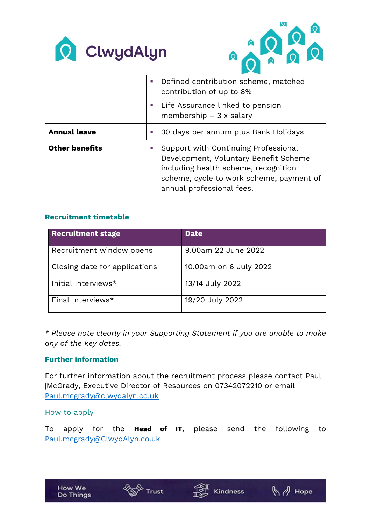



|                       | Defined contribution scheme, matched<br>contribution of up to 8%<br>Life Assurance linked to pension                                                                                           |
|-----------------------|------------------------------------------------------------------------------------------------------------------------------------------------------------------------------------------------|
|                       | membership $-3x$ salary                                                                                                                                                                        |
| <b>Annual leave</b>   | 30 days per annum plus Bank Holidays                                                                                                                                                           |
| <b>Other benefits</b> | Support with Continuing Professional<br>Development, Voluntary Benefit Scheme<br>including health scheme, recognition<br>scheme, cycle to work scheme, payment of<br>annual professional fees. |

## **Recruitment timetable**

| <b>Recruitment stage</b>      | <b>Date</b>            |
|-------------------------------|------------------------|
| Recruitment window opens      | 9.00am 22 June 2022    |
| Closing date for applications | 10.00am on 6 July 2022 |
| Initial Interviews*           | 13/14 July 2022        |
| Final Interviews*             | 19/20 July 2022        |

*\* Please note clearly in your Supporting Statement if you are unable to make any of the key dates.* 

## **Further information**

For further information about the recruitment process please contact Paul |McGrady, Executive Director of Resources on 07342072210 or email [Paul.mcgrady@clwydalyn.co.uk](mailto:Paul.mcgrady@clwydalyn.co.uk)

### How to apply

To apply for the **Head of IT**, please send the following to [Paul.mcgrady@ClwydAlyn.co.uk](mailto:Paul.mcgrady@ClwydAlyn.co.uk)